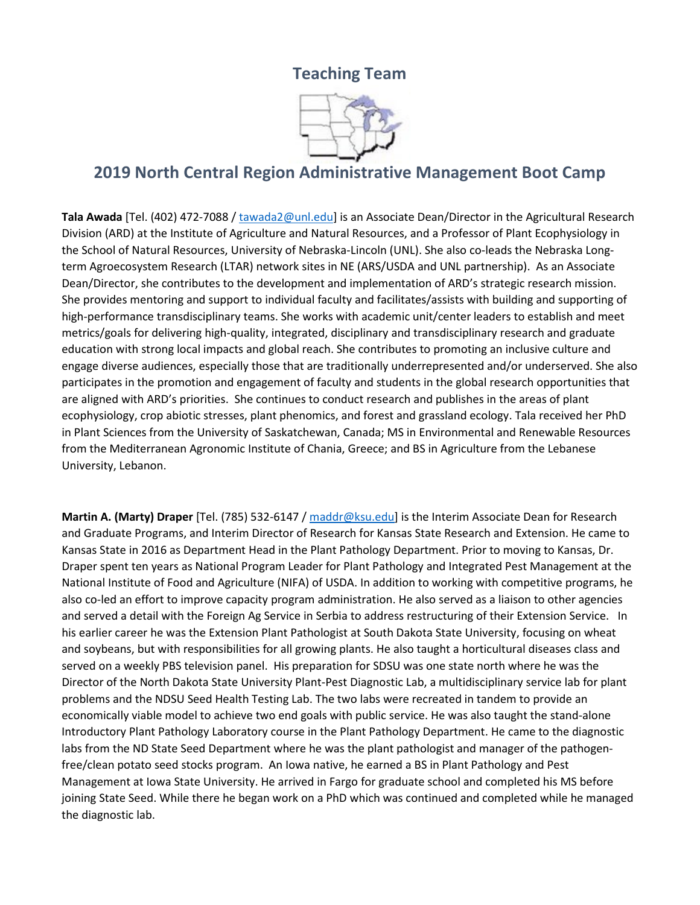## **Teaching Team**



## **2019 North Central Region Administrative Management Boot Camp**

**Tala Awada** [Tel. (402) 472-7088 / [tawada2@unl.edu\]](mailto:tawada2@unl.edu) is an Associate Dean/Director in the Agricultural Research Division (ARD) at the Institute of Agriculture and Natural Resources, and a Professor of Plant Ecophysiology in the School of Natural Resources, University of Nebraska-Lincoln (UNL). She also co-leads the Nebraska Longterm Agroecosystem Research (LTAR) network sites in NE (ARS/USDA and UNL partnership). As an Associate Dean/Director, she contributes to the development and implementation of ARD's strategic research mission. She provides mentoring and support to individual faculty and facilitates/assists with building and supporting of high-performance transdisciplinary teams. She works with academic unit/center leaders to establish and meet metrics/goals for delivering high-quality, integrated, disciplinary and transdisciplinary research and graduate education with strong local impacts and global reach. She contributes to promoting an inclusive culture and engage diverse audiences, especially those that are traditionally underrepresented and/or underserved. She also participates in the promotion and engagement of faculty and students in the global research opportunities that are aligned with ARD's priorities. She continues to conduct research and publishes in the areas of plant ecophysiology, crop abiotic stresses, plant phenomics, and forest and grassland ecology. Tala received her PhD in Plant Sciences from the University of Saskatchewan, Canada; MS in Environmental and Renewable Resources from the Mediterranean Agronomic Institute of Chania, Greece; and BS in Agriculture from the Lebanese University, Lebanon.

**Martin A. (Marty) Draper** [Tel. (785) 532-6147 / [maddr@ksu.edu\]](mailto:maddr@ksu.edu) is the Interim Associate Dean for Research and Graduate Programs, and Interim Director of Research for Kansas State Research and Extension. He came to Kansas State in 2016 as Department Head in the Plant Pathology Department. Prior to moving to Kansas, Dr. Draper spent ten years as National Program Leader for Plant Pathology and Integrated Pest Management at the National Institute of Food and Agriculture (NIFA) of USDA. In addition to working with competitive programs, he also co-led an effort to improve capacity program administration. He also served as a liaison to other agencies and served a detail with the Foreign Ag Service in Serbia to address restructuring of their Extension Service. In his earlier career he was the Extension Plant Pathologist at South Dakota State University, focusing on wheat and soybeans, but with responsibilities for all growing plants. He also taught a horticultural diseases class and served on a weekly PBS television panel. His preparation for SDSU was one state north where he was the Director of the North Dakota State University Plant-Pest Diagnostic Lab, a multidisciplinary service lab for plant problems and the NDSU Seed Health Testing Lab. The two labs were recreated in tandem to provide an economically viable model to achieve two end goals with public service. He was also taught the stand-alone Introductory Plant Pathology Laboratory course in the Plant Pathology Department. He came to the diagnostic labs from the ND State Seed Department where he was the plant pathologist and manager of the pathogenfree/clean potato seed stocks program. An Iowa native, he earned a BS in Plant Pathology and Pest Management at Iowa State University. He arrived in Fargo for graduate school and completed his MS before joining State Seed. While there he began work on a PhD which was continued and completed while he managed the diagnostic lab.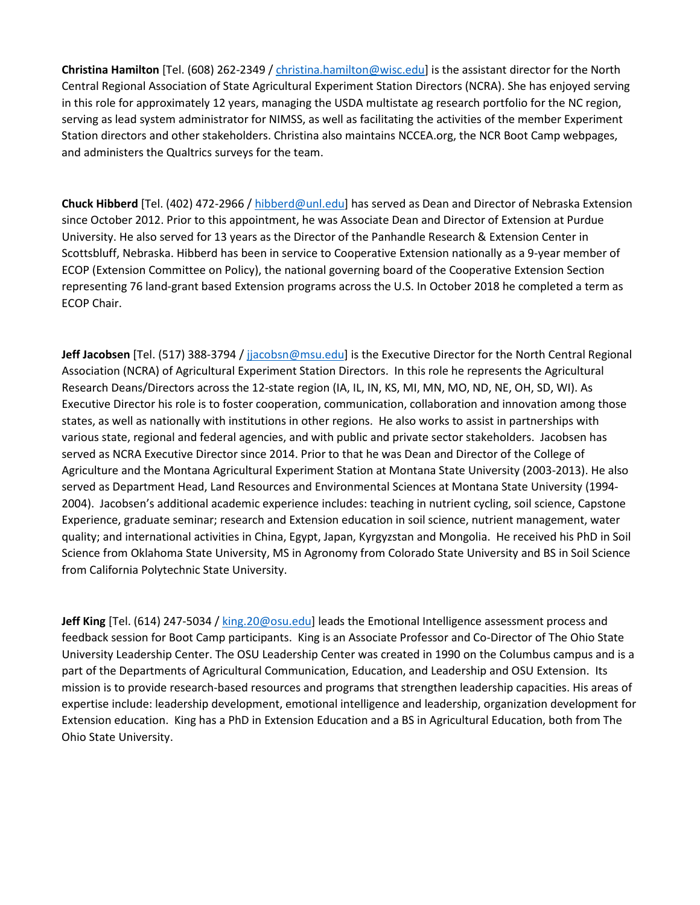**Christina Hamilton** [Tel. (608) 262-2349 / [christina.hamilton@wisc.edu\]](mailto:christina.hamilton@wisc.edu) is the assistant director for the North Central Regional Association of State Agricultural Experiment Station Directors (NCRA). She has enjoyed serving in this role for approximately 12 years, managing the USDA multistate ag research portfolio for the NC region, serving as lead system administrator for NIMSS, as well as facilitating the activities of the member Experiment Station directors and other stakeholders. Christina also maintains NCCEA.org, the NCR Boot Camp webpages, and administers the Qualtrics surveys for the team.

**Chuck Hibberd** [Tel. (402) 472-2966 / [hibberd@unl.edu\]](mailto:hibberd@unl.edu) has served as Dean and Director of Nebraska Extension since October 2012. Prior to this appointment, he was Associate Dean and Director of Extension at Purdue University. He also served for 13 years as the Director of the Panhandle Research & Extension Center in Scottsbluff, Nebraska. Hibberd has been in service to Cooperative Extension nationally as a 9-year member of ECOP (Extension Committee on Policy), the national governing board of the Cooperative Extension Section representing 76 land-grant based Extension programs across the U.S. In October 2018 he completed a term as ECOP Chair.

**Jeff Jacobsen** [Tel. (517) 388-3794 / [jjacobsn@msu.edu\]](mailto:jjacobsn@msu.edu) is the Executive Director for the North Central Regional Association (NCRA) of Agricultural Experiment Station Directors. In this role he represents the Agricultural Research Deans/Directors across the 12-state region (IA, IL, IN, KS, MI, MN, MO, ND, NE, OH, SD, WI). As Executive Director his role is to foster cooperation, communication, collaboration and innovation among those states, as well as nationally with institutions in other regions. He also works to assist in partnerships with various state, regional and federal agencies, and with public and private sector stakeholders. Jacobsen has served as NCRA Executive Director since 2014. Prior to that he was Dean and Director of the College of Agriculture and the Montana Agricultural Experiment Station at Montana State University (2003-2013). He also served as Department Head, Land Resources and Environmental Sciences at Montana State University (1994- 2004). Jacobsen's additional academic experience includes: teaching in nutrient cycling, soil science, Capstone Experience, graduate seminar; research and Extension education in soil science, nutrient management, water quality; and international activities in China, Egypt, Japan, Kyrgyzstan and Mongolia. He received his PhD in Soil Science from Oklahoma State University, MS in Agronomy from Colorado State University and BS in Soil Science from California Polytechnic State University.

**Jeff King** [Tel. (614) 247-5034 [/ king.20@osu.edu\]](mailto:king.20@osu.edu) leads the Emotional Intelligence assessment process and feedback session for Boot Camp participants. King is an Associate Professor and Co-Director of The Ohio State University Leadership Center. The OSU Leadership Center was created in 1990 on the Columbus campus and is a part of the Departments of Agricultural Communication, Education, and Leadership and OSU Extension. Its mission is to provide research-based resources and programs that strengthen leadership capacities. His areas of expertise include: leadership development, emotional intelligence and leadership, organization development for Extension education. King has a PhD in Extension Education and a BS in Agricultural Education, both from The Ohio State University.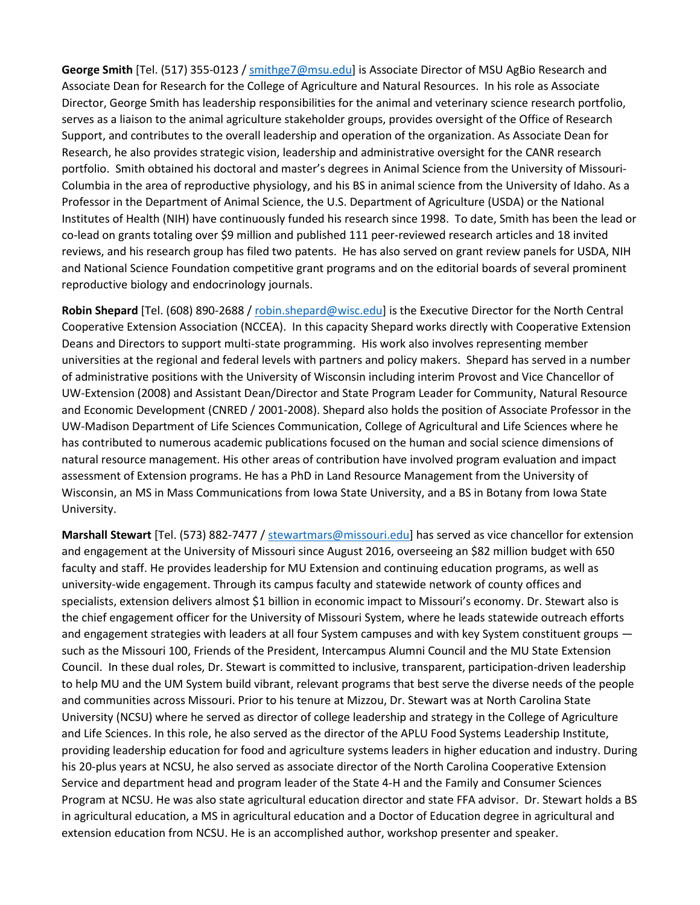**George Smith** [Tel. (517) 355-0123 / [smithge7@msu.edu\]](mailto:smithge7@msu.edu) is Associate Director of MSU AgBio Research and Associate Dean for Research for the College of Agriculture and Natural Resources. In his role as Associate Director, George Smith has leadership responsibilities for the animal and veterinary science research portfolio, serves as a liaison to the animal agriculture stakeholder groups, provides oversight of the Office of Research Support, and contributes to the overall leadership and operation of the organization. As Associate Dean for Research, he also provides strategic vision, leadership and administrative oversight for the CANR research portfolio. Smith obtained his doctoral and master's degrees in Animal Science from the University of Missouri-Columbia in the area of reproductive physiology, and his BS in animal science from the University of Idaho. As a Professor in the Department of Animal Science, the U.S. Department of Agriculture (USDA) or the National Institutes of Health (NIH) have continuously funded his research since 1998. To date, Smith has been the lead or co-lead on grants totaling over \$9 million and published 111 peer-reviewed research articles and 18 invited reviews, and his research group has filed two patents. He has also served on grant review panels for USDA, NIH and National Science Foundation competitive grant programs and on the editorial boards of several prominent reproductive biology and endocrinology journals.

**Robin Shepard** [Tel. (608) 890-2688 / [robin.shepard@wisc.edu\]](mailto:robin.shepard@wisc.edu) is the Executive Director for the North Central Cooperative Extension Association (NCCEA). In this capacity Shepard works directly with Cooperative Extension Deans and Directors to support multi-state programming. His work also involves representing member universities at the regional and federal levels with partners and policy makers. Shepard has served in a number of administrative positions with the University of Wisconsin including interim Provost and Vice Chancellor of UW-Extension (2008) and Assistant Dean/Director and State Program Leader for Community, Natural Resource and Economic Development (CNRED / 2001-2008). Shepard also holds the position of Associate Professor in the UW-Madison Department of Life Sciences Communication, College of Agricultural and Life Sciences where he has contributed to numerous academic publications focused on the human and social science dimensions of natural resource management. His other areas of contribution have involved program evaluation and impact assessment of Extension programs. He has a PhD in Land Resource Management from the University of Wisconsin, an MS in Mass Communications from Iowa State University, and a BS in Botany from Iowa State University.

**Marshall Stewart** [Tel. (573) 882-7477 [/ stewartmars@missouri.edu\]](mailto:stewartmars@missouri.edu) has served as vice chancellor for extension and engagement at the University of Missouri since August 2016, overseeing an \$82 million budget with 650 faculty and staff. He provides leadership for MU Extension and continuing education programs, as well as university-wide engagement. Through its campus faculty and statewide network of county offices and specialists, extension delivers almost \$1 billion in economic impact to Missouri's economy. Dr. Stewart also is the chief engagement officer for the University of Missouri System, where he leads statewide outreach efforts and engagement strategies with leaders at all four System campuses and with key System constituent groups such as the Missouri 100, Friends of the President, Intercampus Alumni Council and the MU State Extension Council. In these dual roles, Dr. Stewart is committed to inclusive, transparent, participation-driven leadership to help MU and the UM System build vibrant, relevant programs that best serve the diverse needs of the people and communities across Missouri. Prior to his tenure at Mizzou, Dr. Stewart was at North Carolina State University (NCSU) where he served as director of college leadership and strategy in the College of Agriculture and Life Sciences. In this role, he also served as the director of the APLU Food Systems Leadership Institute, providing leadership education for food and agriculture systems leaders in higher education and industry. During his 20-plus years at NCSU, he also served as associate director of the North Carolina Cooperative Extension Service and department head and program leader of the State 4-H and the Family and Consumer Sciences Program at NCSU. He was also state agricultural education director and state FFA advisor. Dr. Stewart holds a BS in agricultural education, a MS in agricultural education and a Doctor of Education degree in agricultural and extension education from NCSU. He is an accomplished author, workshop presenter and speaker.